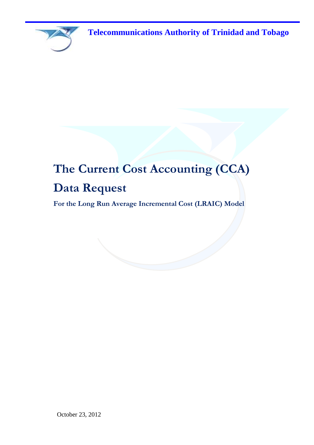

# **The Current Cost Accounting (CCA) Data Request**

**For the Long Run Average Incremental Cost (LRAIC) Model**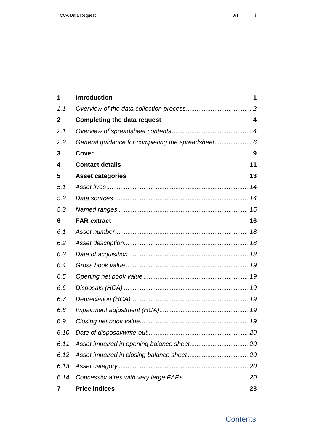| 1            | <b>Introduction</b>                               | 1                       |
|--------------|---------------------------------------------------|-------------------------|
| 1.1          |                                                   |                         |
| $\mathbf{2}$ | <b>Completing the data request</b>                | $\overline{\mathbf{4}}$ |
| 2.1          |                                                   |                         |
| 2.2          | General guidance for completing the spreadsheet 6 |                         |
| 3            | Cover                                             | 9                       |
| 4            | <b>Contact details</b>                            | 11                      |
| 5            | <b>Asset categories</b>                           | 13                      |
| 5.1          |                                                   |                         |
| 5.2          |                                                   |                         |
| 5.3          |                                                   |                         |
| 6            | <b>FAR extract</b>                                | 16                      |
| 6.1          |                                                   |                         |
| 6.2          |                                                   |                         |
| 6.3          |                                                   |                         |
| 6.4          |                                                   |                         |
| 6.5          |                                                   |                         |
| 6.6          |                                                   |                         |
| 6.7          |                                                   |                         |
| 6.8          |                                                   |                         |
| 6.9          |                                                   |                         |
| 6.10         |                                                   |                         |
| 6.11         |                                                   |                         |
| 6.12         |                                                   |                         |
| 6.13         |                                                   |                         |
| 6.14         |                                                   |                         |
| 7            | <b>Price indices</b>                              | 23                      |

### **Contents**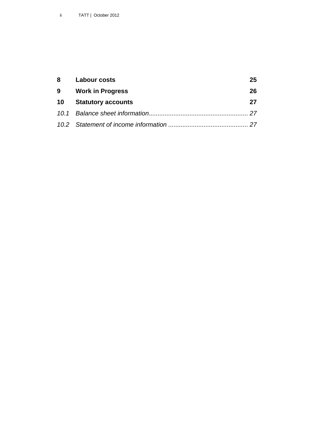|   | 8 Labour costs          | 25 |
|---|-------------------------|----|
| 9 | <b>Work in Progress</b> | 26 |
|   | 10 Statutory accounts   | 27 |
|   |                         |    |
|   |                         |    |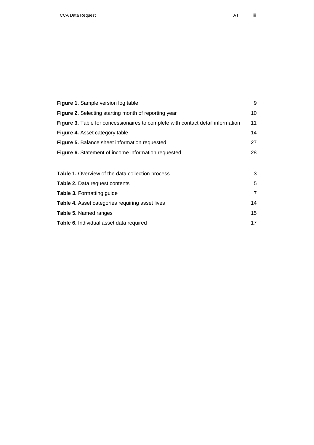| <b>Figure 1.</b> Sample version log table                                       | 9              |
|---------------------------------------------------------------------------------|----------------|
| Figure 2. Selecting starting month of reporting year                            | 10             |
| Figure 3. Table for concessionaires to complete with contact detail information | 11             |
| Figure 4. Asset category table                                                  | 14             |
| <b>Figure 5. Balance sheet information requested</b>                            | 27             |
| Figure 6. Statement of income information requested                             | 28             |
|                                                                                 |                |
| <b>Table 1.</b> Overview of the data collection process                         | 3              |
| Table 2. Data request contents                                                  | 5              |
| <b>Table 3. Formatting guide</b>                                                | $\overline{7}$ |
| <b>Table 4.</b> Asset categories requiring asset lives                          | 14             |
| Table 5. Named ranges                                                           | 15             |
| Table 6. Individual asset data required                                         | 17             |
|                                                                                 |                |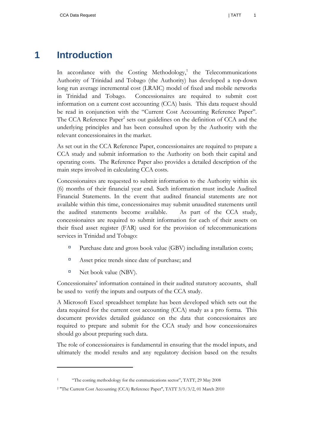# **1 Introduction**

<span id="page-6-0"></span>In accordance with the Costing Methodology,<sup>1</sup> the Telecommunications Authority of Trinidad and Tobago (the Authority) has developed a top-down long run average incremental cost (LRAIC) model of fixed and mobile networks in Trinidad and Tobago. Concessionaires are required to submit cost information on a current cost accounting (CCA) basis. This data request should be read in conjunction with the "Current Cost Accounting Reference Paper". The CCA Reference Paper<sup>2</sup> sets out guidelines on the definition of CCA and the underlying principles and has been consulted upon by the Authority with the relevant concessionaires in the market.

As set out in the CCA Reference Paper, concessionaires are required to prepare a CCA study and submit information to the Authority on both their capital and operating costs. The Reference Paper also provides a detailed description of the main steps involved in calculating CCA costs.

Concessionaires are requested to submit information to the Authority within six (6) months of their financial year end. Such information must include Audited Financial Statements. In the event that audited financial statements are not available within this time, concessionaires may submit unaudited statements until the audited statements become available. As part of the CCA study, concessionaires are required to submit information for each of their assets on their fixed asset register (FAR) used for the provision of telecommunications services in Trinidad and Tobago:

- Purchase date and gross book value (GBV) including installation costs;
- Asset price trends since date of purchase; and
- $\Box$  Net book value (NBV).

 $\overline{a}$ 

Concessionaires' information contained in their audited statutory accounts, shall be used to verify the inputs and outputs of the CCA study.

A Microsoft Excel spreadsheet template has been developed which sets out the data required for the current cost accounting (CCA) study as a pro forma. This document provides detailed guidance on the data that concessionaires are required to prepare and submit for the CCA study and how concessionaires should go about preparing such data.

The role of concessionaires is fundamental in ensuring that the model inputs, and ultimately the model results and any regulatory decision based on the results

<sup>&</sup>quot;The costing methodology for the communications sector", TATT, 29 May 2008

<sup>2</sup> "The Current Cost Accounting (CCA) Reference Paper", TATT 3/5/3/2, 01 March 2010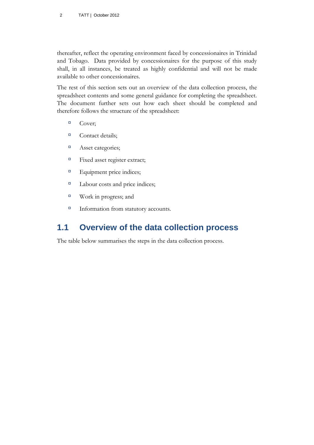thereafter, reflect the operating environment faced by concessionaires in Trinidad and Tobago. Data provided by concessionaires for the purpose of this study shall, in all instances, be treated as highly confidential and will not be made available to other concessionaires.

The rest of this section sets out an overview of the data collection process, the spreadsheet contents and some general guidance for completing the spreadsheet. The document further sets out how each sheet should be completed and therefore follows the structure of the spreadsheet:

- $\Box$  Cover;
- <sup>□</sup> Contact details;
- <sup> $\Box$ </sup> Asset categories;
- Fixed asset register extract;
- Equipment price indices;
- <sup> $\Box$ </sup> Labour costs and price indices;
- Work in progress; and
- Information from statutory accounts.

# <span id="page-7-0"></span>**1.1 Overview of the data collection process**

The table below summarises the steps in the data collection process.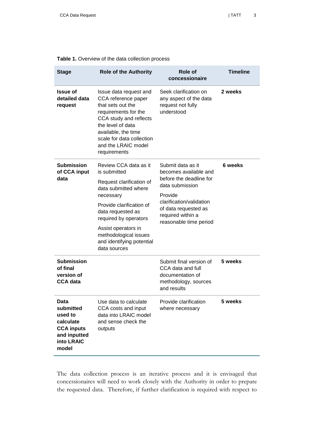| <b>Role of the Authority</b><br><b>Stage</b>                                                          |                                                                                                                                                                                                                                      | <b>Role of</b><br><b>Timeline</b><br>concessionaire                                                     |         |
|-------------------------------------------------------------------------------------------------------|--------------------------------------------------------------------------------------------------------------------------------------------------------------------------------------------------------------------------------------|---------------------------------------------------------------------------------------------------------|---------|
| <b>Issue of</b><br>detailed data<br>request                                                           | Issue data request and<br>CCA reference paper<br>that sets out the<br>requirements for the<br>CCA study and reflects<br>the level of data<br>available, the time<br>scale for data collection<br>and the LRAIC model<br>requirements | Seek clarification on<br>any aspect of the data<br>request not fully<br>understood                      | 2 weeks |
| <b>Submission</b><br>of CCA input                                                                     | Review CCA data as it<br>is submitted                                                                                                                                                                                                | Submit data as it<br>becomes available and                                                              | 6 weeks |
| data                                                                                                  | Request clarification of<br>data submitted where                                                                                                                                                                                     | before the deadline for<br>data submission                                                              |         |
|                                                                                                       | necessary<br>Provide clarification of                                                                                                                                                                                                | Provide<br>clarification/validation                                                                     |         |
|                                                                                                       | data requested as<br>required by operators                                                                                                                                                                                           | of data requested as<br>required within a<br>reasonable time period                                     |         |
|                                                                                                       | Assist operators in<br>methodological issues<br>and identifying potential<br>data sources                                                                                                                                            |                                                                                                         |         |
| <b>Submission</b><br>of final<br>version of<br><b>CCA data</b>                                        |                                                                                                                                                                                                                                      | Submit final version of<br>CCA data and full<br>documentation of<br>methodology, sources<br>and results | 5 weeks |
| Data<br>submitted<br>used to<br>calculate<br><b>CCA inputs</b><br>and inputted<br>into LRAIC<br>model | Use data to calculate<br>CCA costs and input<br>data into LRAIC model<br>and sense check the<br>outputs                                                                                                                              | Provide clarification<br>where necessary                                                                | 5 weeks |

#### <span id="page-8-0"></span>**Table 1.** Overview of the data collection process

The data collection process is an iterative process and it is envisaged that concessionaires will need to work closely with the Authority in order to prepare the requested data. Therefore, if further clarification is required with respect to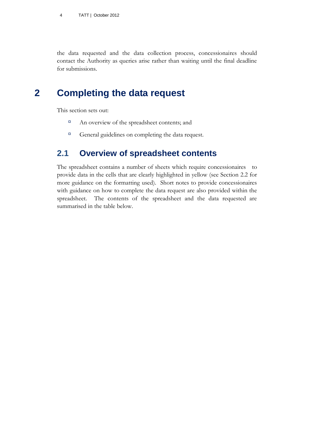the data requested and the data collection process, concessionaires should contact the Authority as queries arise rather than waiting until the final deadline for submissions.

# **2 Completing the data request**

<span id="page-9-0"></span>This section sets out:

- <sup>n</sup> An overview of the spreadsheet contents; and
- <sup>In</sup> General guidelines on completing the data request.

### <span id="page-9-1"></span>**2.1 Overview of spreadsheet contents**

The spreadsheet contains a number of sheets which require concessionaires to provide data in the cells that are clearly highlighted in yellow (see Section [2.2](#page-11-0) for more guidance on the formatting used). Short notes to provide concessionaires with guidance on how to complete the data request are also provided within the spreadsheet. The contents of the spreadsheet and the data requested are summarised in the table below.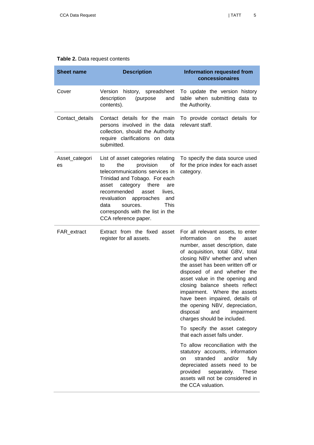<span id="page-10-0"></span>

|  | Table 2. Data request contents |
|--|--------------------------------|
|--|--------------------------------|

| <b>Sheet name</b>    | <b>Description</b>                                                                                                                                                                                                                                                                                                                   | <b>Information requested from</b><br>concessionaires                                                                                                                                                                                                                                                                                                                                                                                                                                                                                                                                                                                                                                                                                                                                                  |  |  |
|----------------------|--------------------------------------------------------------------------------------------------------------------------------------------------------------------------------------------------------------------------------------------------------------------------------------------------------------------------------------|-------------------------------------------------------------------------------------------------------------------------------------------------------------------------------------------------------------------------------------------------------------------------------------------------------------------------------------------------------------------------------------------------------------------------------------------------------------------------------------------------------------------------------------------------------------------------------------------------------------------------------------------------------------------------------------------------------------------------------------------------------------------------------------------------------|--|--|
| Cover                | Version<br>history, spreadsheet<br>description<br>(purpose<br>and<br>contents).                                                                                                                                                                                                                                                      | To update the version history<br>table when submitting data to<br>the Authority.                                                                                                                                                                                                                                                                                                                                                                                                                                                                                                                                                                                                                                                                                                                      |  |  |
| Contact_details      | Contact details for the main<br>persons involved in the data<br>collection, should the Authority<br>require clarifications on data<br>submitted.                                                                                                                                                                                     | To provide contact details for<br>relevant staff.                                                                                                                                                                                                                                                                                                                                                                                                                                                                                                                                                                                                                                                                                                                                                     |  |  |
| Asset_categori<br>es | List of asset categories relating<br>provision<br>the<br>οf<br>to<br>telecommunications services in<br>Trinidad and Tobago. For each<br>category<br>there<br>asset<br>are<br>recommended<br>asset<br>lives,<br>revaluation approaches<br>and<br>This<br>data<br>sources.<br>corresponds with the list in the<br>CCA reference paper. | To specify the data source used<br>for the price index for each asset<br>category.                                                                                                                                                                                                                                                                                                                                                                                                                                                                                                                                                                                                                                                                                                                    |  |  |
| FAR_extract          | Extract from the fixed asset<br>register for all assets.                                                                                                                                                                                                                                                                             | For all relevant assets, to enter<br>information<br>the<br>on<br>asset<br>number, asset description, date<br>of acquisition, total GBV, total<br>closing NBV whether and when<br>the asset has been written off or<br>disposed of and whether the<br>asset value in the opening and<br>closing balance sheets reflect<br>impairment. Where the assets<br>have been impaired, details of<br>the opening NBV, depreciation,<br>disposal<br>and<br>impairment<br>charges should be included.<br>To specify the asset category<br>that each asset falls under.<br>To allow reconciliation with the<br>statutory accounts, information<br>stranded<br>and/or<br>fully<br>on<br>depreciated assets need to be<br>provided<br>separately.<br>These<br>assets will not be considered in<br>the CCA valuation. |  |  |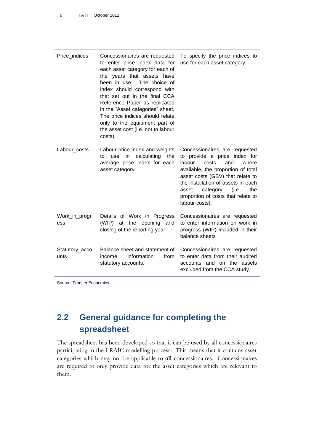| Price_indices          | Concessionaires are requested<br>to enter price index data for<br>each asset category for each of<br>the years that assets have<br>been in use.<br>The choice of<br>index should correspond with<br>that set out in the final CCA<br>Reference Paper as replicated<br>in the "Asset categories" sheet.<br>The price indices should relate<br>only to the equipment part of<br>the asset cost (i.e. not to labour<br>costs). | To specify the price indices to<br>use for each asset category.                                                                                                                                                                                                                                            |
|------------------------|-----------------------------------------------------------------------------------------------------------------------------------------------------------------------------------------------------------------------------------------------------------------------------------------------------------------------------------------------------------------------------------------------------------------------------|------------------------------------------------------------------------------------------------------------------------------------------------------------------------------------------------------------------------------------------------------------------------------------------------------------|
| Labour_costs           | Labour price index and weights<br>calculating<br>in<br>use<br>the<br>to<br>average price index for each<br>asset category.                                                                                                                                                                                                                                                                                                  | Concessionaires are requested<br>to provide a price index for<br>and<br>labour<br>costs<br>where<br>available, the proportion of total<br>asset costs (GBV) that relate to<br>the installation of assets in each<br>the<br>category (i.e.<br>asset<br>proportion of costs that relate to<br>labour costs). |
| Work_in_progr<br>ess   | Details of Work in Progress<br>(WIP) at the opening and<br>closing of the reporting year                                                                                                                                                                                                                                                                                                                                    | Concessionaires are requested<br>to enter information on work in<br>progress (WIP) included in their<br>balance sheets                                                                                                                                                                                     |
| Statutory_acco<br>unts | Balance sheet and statement of<br>information<br>from<br>income<br>statutory accounts.                                                                                                                                                                                                                                                                                                                                      | Concessionaires are requested<br>to enter data from their audited<br>accounts and on the assets<br>excluded from the CCA study.                                                                                                                                                                            |

Source: Frontier Economics

# <span id="page-11-0"></span>**2.2 General guidance for completing the spreadsheet**

The spreadsheet has been developed so that it can be used by all concessionaires participating in the LRAIC modelling process. This means that it contains asset categories which may not be applicable to **all** concessionaires. Concessionaires are required to only provide data for the asset categories which are relevant to them.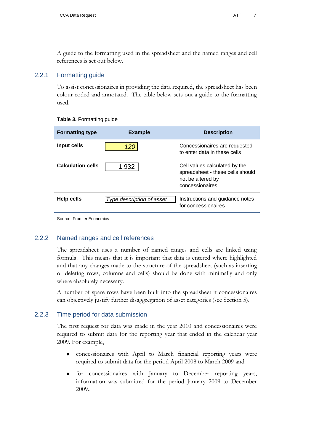A guide to the formatting used in the spreadsheet and the named ranges and cell references is set out below.

#### 2.2.1 Formatting guide

To assist concessionaires in providing the data required, the spreadsheet has been colour coded and annotated. The table below sets out a guide to the formatting used.

| <b>Formatting type</b>   | <b>Example</b>            | <b>Description</b>                                                                                        |
|--------------------------|---------------------------|-----------------------------------------------------------------------------------------------------------|
| Input cells              |                           | Concessionaires are requested<br>to enter data in these cells                                             |
| <b>Calculation cells</b> | 1,932                     | Cell values calculated by the<br>spreadsheet - these cells should<br>not be altered by<br>concessionaires |
| <b>Help cells</b>        | Type description of asset | Instructions and guidance notes<br>for concessionaires                                                    |

#### <span id="page-12-0"></span>**Table 3.** Formatting guide

Source: Frontier Economics

#### 2.2.2 Named ranges and cell references

The spreadsheet uses a number of named ranges and cells are linked using formula. This means that it is important that data is entered where highlighted and that any changes made to the structure of the spreadsheet (such as inserting or deleting rows, columns and cells) should be done with minimally and only where absolutely necessary.

A number of spare rows have been built into the spreadsheet if concessionaires can objectively justify further disaggregation of asset categories (see Section [5\)](#page-18-0).

#### 2.2.3 Time period for data submission

The first request for data was made in the year 2010 and concessionaires were required to submit data for the reporting year that ended in the calendar year 2009. For example,

- concessionaires with April to March financial reporting years were  $\bullet$ required to submit data for the period April 2008 to March 2009 and
- for concessionaires with January to December reporting years, information was submitted for the period January 2009 to December 2009..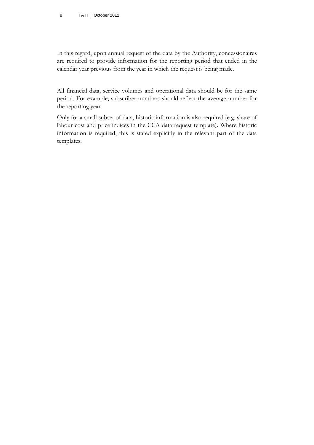In this regard, upon annual request of the data by the Authority, concessionaires are required to provide information for the reporting period that ended in the calendar year previous from the year in which the request is being made.

All financial data, service volumes and operational data should be for the same period. For example, subscriber numbers should reflect the average number for the reporting year.

Only for a small subset of data, historic information is also required (e.g. share of labour cost and price indices in the CCA data request template). Where historic information is required, this is stated explicitly in the relevant part of the data templates.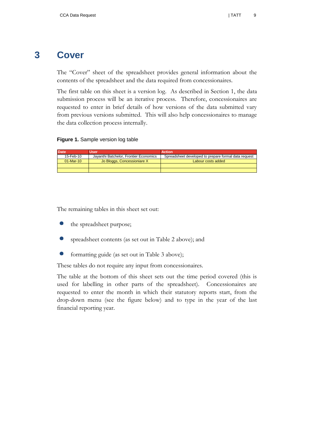# **3 Cover**

<span id="page-14-0"></span>The "Cover" sheet of the spreadsheet provides general information about the contents of the spreadsheet and the data required from concessionaires.

The first table on this sheet is a version log. As described in Section [1,](#page-6-0) the data submission process will be an iterative process. Therefore, concessionaires are requested to enter in brief details of how versions of the data submitted vary from previous versions submitted. This will also help concessionaires to manage the data collection process internally.

#### <span id="page-14-1"></span>**Figure 1.** Sample version log table

| <b>Date</b> | Usen                                   | <b>Action</b>                                        |  |
|-------------|----------------------------------------|------------------------------------------------------|--|
| 15-Feb-10   | Jayanthi Batchelor, Frontier Economics | Spreadsheet developed to prepare formal data request |  |
| $01-Mar-10$ | Jo Bloggs, Concessioniare X            | Labour costs added                                   |  |
|             |                                        |                                                      |  |
|             |                                        |                                                      |  |

The remaining tables in this sheet set out:

- the spreadsheet purpose;
- $\bullet$ spreadsheet contents (as set out in [Table 2](#page-10-0) above); and
- $\bullet$ formatting guide (as set out in [Table 3](#page-12-0) above);

These tables do not require any input from concessionaires.

The table at the bottom of this sheet sets out the time period covered (this is used for labelling in other parts of the spreadsheet). Concessionaires are requested to enter the month in which their statutory reports start, from the drop-down menu (see the figure below) and to type in the year of the last financial reporting year.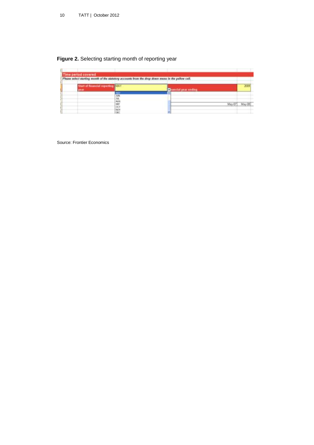### <span id="page-15-0"></span>**Figure 2.** Selecting starting month of reporting year

| ime period covered<br>Please select starting month of the statutory accounts from the drop down menu in the yellow cell. |        |                             |                   |
|--------------------------------------------------------------------------------------------------------------------------|--------|-----------------------------|-------------------|
| Start of financial reporting [MAY]<br><b>VIII</b>                                                                        |        | <b>D</b> ancial year ending | 3009              |
|                                                                                                                          |        |                             |                   |
|                                                                                                                          | 2を発見する |                             | <b>CONTRACTOR</b> |
|                                                                                                                          |        |                             | May-08<br>May-07  |
|                                                                                                                          |        |                             |                   |

Source: Frontier Economics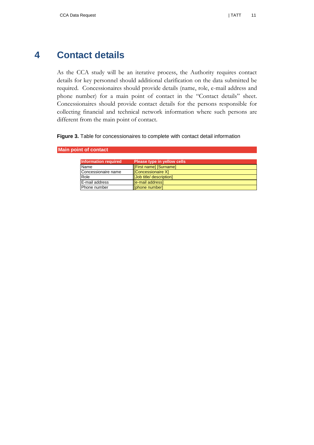# **4 Contact details**

<span id="page-16-0"></span>As the CCA study will be an iterative process, the Authority requires contact details for key personnel should additional clarification on the data submitted be required. Concessionaires should provide details (name, role, e-mail address and phone number) for a main point of contact in the "Contact details" sheet. Concessionaires should provide contact details for the persons responsible for collecting financial and technical network information where such persons are different from the main point of contact.

#### <span id="page-16-1"></span>**Figure 3.** Table for concessionaires to complete with contact detail information

| Information required | Please type in yellow cells,  |
|----------------------|-------------------------------|
| Name                 | <b>[First name] [Surname]</b> |
| Concessionaire name  | <b>Concessionaire X1</b>      |
| Role                 | [Job title/ description]      |
| E-mail address       | [e-mail address]              |
| Phone number         | [phone number]                |

#### **Main point of contact**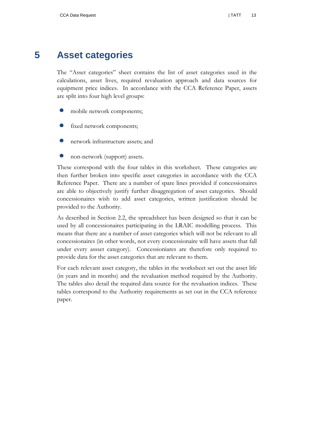# **5 Asset categories**

<span id="page-18-0"></span>The "Asset categories" sheet contains the list of asset categories used in the calculations, asset lives, required revaluation approach and data sources for equipment price indices. In accordance with the CCA Reference Paper, assets are split into four high level groups:

- mobile network components;
- fixed network components;
- network infrastructure assets; and
- $\bullet$ non-network (support) assets.

These correspond with the four tables in this worksheet. These categories are then further broken into specific asset categories in accordance with the CCA Reference Paper. There are a number of spare lines provided if concessionaires are able to objectively justify further disaggregation of asset categories. Should concessionaires wish to add asset categories, written justification should be provided to the Authority.

As described in Section [2.2,](#page-11-0) the spreadsheet has been designed so that it can be used by all concessionaires participating in the LRAIC modelling process. This means that there are a number of asset categories which will not be relevant to all concessionaires (in other words, not every concessionaire will have assets that fall under every assset category). Concessioniares are therefore only required to provide data for the asset categories that are relevant to them.

For each relevant asset category, the tables in the worksheet set out the asset life (in years and in months) and the revaluation method required by the Authority. The tables also detail the required data source for the revaluation indices. These tables correspond to the Authority requirements as set out in the CCA reference paper.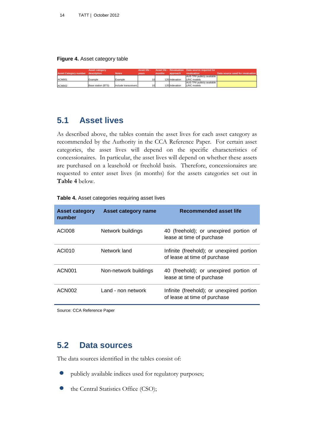#### <span id="page-19-2"></span>**Figure 4.** Asset category table

|                                          | <b>Asset category</b> |                      | Asset life - |        |                | Asset life - Revaluation Data source required for |                                  |
|------------------------------------------|-----------------------|----------------------|--------------|--------|----------------|---------------------------------------------------|----------------------------------|
| <b>Asset Category number description</b> |                       | <b>Notes</b>         | vears        | months | approach       | revaluation                                       | Data source used for revaluation |
|                                          |                       |                      |              |        |                | AUS TPI/ publicly available                       |                                  |
| ACM001                                   | Example               | Example              | 10           |        | 120 Indexation | LRIC models                                       |                                  |
|                                          |                       |                      |              |        |                | AUS TPI/ publicly available                       |                                  |
| ACM002                                   | Base station (BTS)    | Include transceivers | 10           |        | 120 Indexation | <b>LRIC</b> models                                |                                  |

# <span id="page-19-0"></span>**5.1 Asset lives**

As described above, the tables contain the asset lives for each asset category as recommended by the Authority in the CCA Reference Paper. For certain asset categories, the asset lives will depend on the specific characteristics of concessionaires. In particular, the asset lives will depend on whether these assets are purchased on a leasehold or freehold basis. Therefore, concessionaires are requested to enter asset lives (in months) for the assets categories set out in **[Table 4](#page-19-3)** below.

| <b>Asset category</b><br>number | Asset category name   | Recommended asset life                                                    |
|---------------------------------|-----------------------|---------------------------------------------------------------------------|
| ACI008                          | Network buildings     | 40 (freehold); or unexpired portion of<br>lease at time of purchase       |
| ACI010                          | Network land          | Infinite (freehold); or unexpired portion<br>of lease at time of purchase |
| ACN <sub>001</sub>              | Non-network buildings | 40 (freehold); or unexpired portion of<br>lease at time of purchase       |
| ACN <sub>002</sub>              | Land - non network    | Infinite (freehold); or unexpired portion<br>of lease at time of purchase |

#### <span id="page-19-3"></span>**Table 4.** Asset categories requiring asset lives

Source: CCA Reference Paper

# <span id="page-19-1"></span>**5.2 Data sources**

The data sources identified in the tables consist of:

- publicly available indices used for regulatory purposes;  $\bullet$
- $\bullet$ the Central Statistics Office (CSO);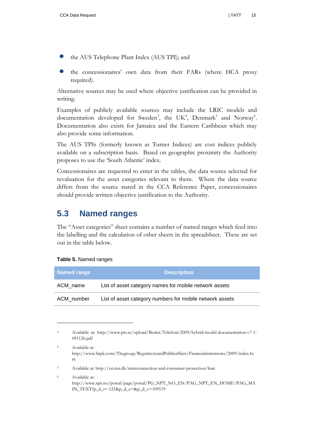- the AUS Telephone Plant Index (AUS TPI); and
- the concessionaires" own data from their FARs (where HCA proxy required).

Alternative sources may be used where objective justification can be provided in writing.

Examples of publicly available sources may include the LRIC models and documentation developed for Sweden<sup>3</sup>, the UK<sup>4</sup>, Denmark<sup>5</sup> and Norway<sup>6</sup>. Documentation also exists for Jamaica and the Eastern Caribbean which may also provide some information.

The AUS TPIs (formerly known as Turner Indices) are cost indices publicly available on a subscription basis. Based on geographic proximity the Authority proposes to use the 'South Atlantic' index.

Concessionaires are requested to enter in the tables, the data source selected for revaluation for the asset categories relevant to them. Where the data source differs from the source stated in the CCA Reference Paper, concessionaires should provide written objective justification to the Authority.

# <span id="page-20-0"></span>**5.3 Named ranges**

The "Asset categories" sheet contains a number of named ranges which feed into the labelling and the calculation of other sheets in the spreadsheet. These are set out in the table below.

#### <span id="page-20-1"></span>**Table 5.** Named ranges

 $\overline{a}$ 

| <b>Named range</b> | <b>Description</b>                                       |  |  |
|--------------------|----------------------------------------------------------|--|--|
| ACM name           | List of asset category names for mobile network assets   |  |  |
| ACM_number         | List of asset category numbers for mobile network assets |  |  |

<sup>6</sup> Available at: http://www.npt.no/portal/page/portal/PG\_NPT\_NO\_EN/PAG\_NPT\_EN\_HOME/PAG\_MA IN\_TEXT?p\_d\_i=-121&p\_d\_c=&p\_d\_v=109119

<sup>3</sup> Available at: http://www.pts.se/upload/Beslut/Telefoni/2009/hybrid-model-documentation-v7-1- 091126.pdf

<sup>4</sup> Available at: http://www.btplc.com/Thegroup/RegulatoryandPublicaffairs/Financialstatements/2009/index.ht m

<sup>5</sup> Available at: http://en.itst.dk/interconnection-and-consumer-protection/lraic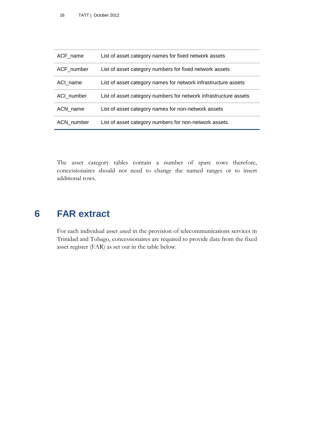| ACF name   | List of asset category names for fixed network assets            |
|------------|------------------------------------------------------------------|
| ACF_number | List of asset category numbers for fixed network assets          |
| ACI name   | List of asset category names for network infrastructure assets   |
| ACI number | List of asset category numbers for network infrastructure assets |
| ACN name   | List of asset category names for non-network assets              |
| ACN number | List of asset category numbers for non-network assets.           |

The asset category tables contain a number of spare rows therefore, concessionaires should not need to change the named ranges or to insert additional rows.

# **6 FAR extract**

<span id="page-21-0"></span>For each individual asset used in the provision of telecommunications services in Trinidad and Tobago, concessionaires are required to provide data from the fixed asset register (FAR) as set out in the table below.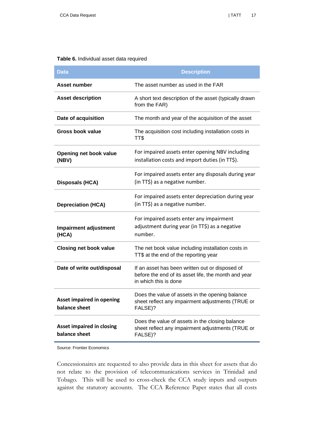#### <span id="page-22-0"></span>**Table 6.** Individual asset data required

| Data                                              | <b>Description</b>                                                                                                               |  |  |  |
|---------------------------------------------------|----------------------------------------------------------------------------------------------------------------------------------|--|--|--|
| <b>Asset number</b>                               | The asset number as used in the FAR                                                                                              |  |  |  |
| <b>Asset description</b>                          | A short text description of the asset (typically drawn<br>from the FAR)                                                          |  |  |  |
| Date of acquisition                               | The month and year of the acquisition of the asset                                                                               |  |  |  |
| Gross book value                                  | The acquisition cost including installation costs in<br>TT\$                                                                     |  |  |  |
| Opening net book value<br>(NBV)                   | For impaired assets enter opening NBV including<br>installation costs and import duties (in TT\$).                               |  |  |  |
| Disposals (HCA)                                   | For impaired assets enter any disposals during year<br>(in TT\$) as a negative number.                                           |  |  |  |
| <b>Depreciation (HCA)</b>                         | For impaired assets enter depreciation during year<br>(in TT\$) as a negative number.                                            |  |  |  |
| <b>Impairment adjustment</b><br>(HCA)             | For impaired assets enter any impairment<br>adjustment during year (in TT\$) as a negative<br>number.                            |  |  |  |
| <b>Closing net book value</b>                     | The net book value including installation costs in<br>TT\$ at the end of the reporting year                                      |  |  |  |
| Date of write out/disposal                        | If an asset has been written out or disposed of<br>before the end of its asset life, the month and year<br>in which this is done |  |  |  |
| <b>Asset impaired in opening</b><br>balance sheet | Does the value of assets in the opening balance<br>sheet reflect any impairment adjustments (TRUE or<br>FALSE)?                  |  |  |  |
| <b>Asset impaired in closing</b><br>balance sheet | Does the value of assets in the closing balance<br>sheet reflect any impairment adjustments (TRUE or<br>FALSE)?                  |  |  |  |

Source: Frontier Economics

Concessionaires are requested to also provide data in this sheet for assets that do not relate to the provision of telecommunications services in Trinidad and Tobago. This will be used to cross-check the CCA study inputs and outputs against the statutory accounts. The CCA Reference Paper states that all costs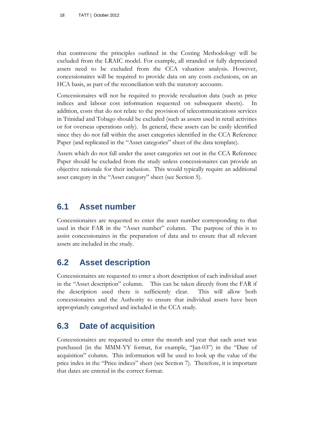that contravene the principles outlined in the Costing Methodology will be excluded from the LRAIC model. For example, all stranded or fully depreciated assets need to be excluded from the CCA valuation analysis. However, concessionaires will be required to provide data on any costs exclusions, on an HCA basis, as part of the reconciliation with the statutory accounts.

Concessionaires will not be required to provide revaluation data (such as price indices and labour cost information requested on subsequent sheets). addition, costs that do not relate to the provision of telecommunications services in Trinidad and Tobago should be excluded (such as assets used in retail activities or for overseas operations only). In general, these assets can be easily identified since they do not fall within the asset categories identified in the CCA Reference Paper (and replicated in the "Asset categories" sheet of the data template).

Assets which do not fall under the asset categories set out in the CCA Reference Paper should be excluded from the study unless concessionaires can provide an objective rationale for their inclusion. This would typically require an additional asset category in the "Asset category" sheet (see Section [5\)](#page-18-0).

# <span id="page-23-0"></span>**6.1 Asset number**

Concessionaires are requested to enter the asset number corresponding to that used in their FAR in the "Asset number" column. The purpose of this is to assist concessionaires in the preparation of data and to ensure that all relevant assets are included in the study.

# <span id="page-23-1"></span>**6.2 Asset description**

Concessionaires are requested to enter a short description of each individual asset in the "Asset description" column. This can be taken directly from the FAR if the description used there is sufficiently clear. This will allow both concessionaires and the Authority to ensure that individual assets have been appropriately categorised and included in the CCA study.

# <span id="page-23-2"></span>**6.3 Date of acquisition**

Concessionaires are requested to enter the month and year that each asset was purchased (in the MMM-YY format, for example, "Jan-03") in the "Date of acquisition" column. This information will be used to look up the value of the price index in the "Price indices" sheet (see Section [7\)](#page-28-0). Therefore, it is important that dates are entered in the correct format.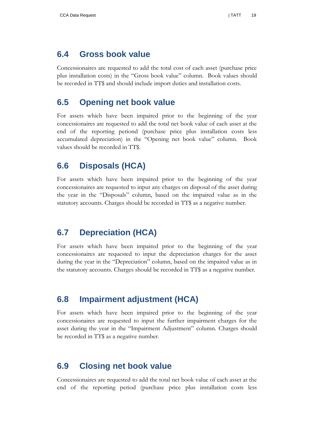### <span id="page-24-0"></span>**6.4 Gross book value**

Concessionaires are requested to add the total cost of each asset (purchase price plus installation costs) in the "Gross book value" column. Book values should be recorded in TT\$ and should include import duties and installation costs.

# <span id="page-24-1"></span>**6.5 Opening net book value**

For assets which have been impaired prior to the beginning of the year concessionaires are requested to add the total net book value of each asset at the end of the reporting periond (purchase price plus installation costs less accumulated depreciation) in the "Opening net book value" column. Book values should be recorded in TT\$.

# <span id="page-24-2"></span>**6.6 Disposals (HCA)**

For assets which have been impaired prior to the beginning of the year concessionaires are requested to input any charges on disposal of the asset during the year in the "Disposals" column, based on the impaired value as in the statutory accounts. Charges should be recorded in TT\$ as a negative number.

# <span id="page-24-3"></span>**6.7 Depreciation (HCA)**

For assets which have been impaired prior to the beginning of the year concessionaires are requested to input the depreciation charges for the asset during the year in the "Depreciation" column, based on the impaired value as in the statutory accounts. Charges should be recorded in TT\$ as a negative number.

# <span id="page-24-4"></span>**6.8 Impairment adjustment (HCA)**

For assets which have been impaired prior to the beginning of the year concessionaires are requested to input the further impairment charges for the asset during the year in the "Impairment Adjustment" column. Charges should be recorded in TT\$ as a negative number.

# <span id="page-24-5"></span>**6.9 Closing net book value**

Concessionaires are requested to add the total net book value of each asset at the end of the reporting period (purchase price plus installation costs less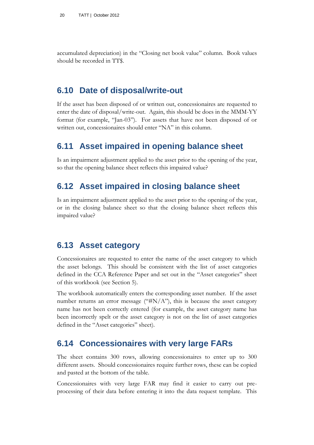accumulated depreciation) in the "Closing net book value" column. Book values should be recorded in TT\$.

# <span id="page-25-0"></span>**6.10 Date of disposal/write-out**

If the asset has been disposed of or written out, concessionaires are requested to enter the date of disposal/write-out. Again, this should be does in the MMM-YY format (for example, "Jan-03"). For assets that have not been disposed of or written out, concessionaires should enter "NA" in this column.

### <span id="page-25-1"></span>**6.11 Asset impaired in opening balance sheet**

Is an impairment adjustment applied to the asset prior to the opening of the year, so that the opening balance sheet reflects this impaired value?

# <span id="page-25-2"></span>**6.12 Asset impaired in closing balance sheet**

Is an impairment adjustment applied to the asset prior to the opening of the year, or in the closing balance sheet so that the closing balance sheet reflects this impaired value?

# <span id="page-25-3"></span>**6.13 Asset category**

Concessionaires are requested to enter the name of the asset category to which the asset belongs. This should be consistent with the list of asset categories defined in the CCA Reference Paper and set out in the "Asset categories" sheet of this workbook (see Section [5\)](#page-18-0).

The workbook automatically enters the corresponding asset number. If the asset number returns an error message (" $#N/A$ "), this is because the asset category name has not been correctly entered (for example, the asset category name has been incorrectly spelt or the asset category is not on the list of asset categories defined in the "Asset categories" sheet).

# <span id="page-25-4"></span>**6.14 Concessionaires with very large FARs**

The sheet contains 300 rows, allowing concessionaires to enter up to 300 different assets. Should concessionaires require further rows, these can be copied and pasted at the bottom of the table.

Concessionaires with very large FAR may find it easier to carry out preprocessing of their data before entering it into the data request template. This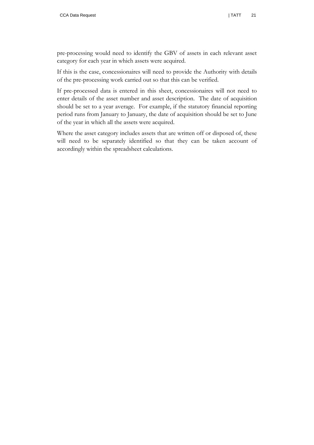pre-processing would need to identify the GBV of assets in each relevant asset category for each year in which assets were acquired.

If this is the case, concessionaires will need to provide the Authority with details of the pre-processing work carried out so that this can be verified.

If pre-processed data is entered in this sheet, concessionaires will not need to enter details of the asset number and asset description. The date of acquisition should be set to a year average. For example, if the statutory financial reporting period runs from January to January, the date of acquisition should be set to June of the year in which all the assets were acquired.

Where the asset category includes assets that are written off or disposed of, these will need to be separately identified so that they can be taken account of accordingly within the spreadsheet calculations.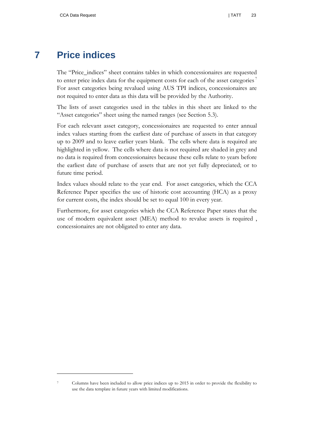# **7 Price indices**

<span id="page-28-0"></span>The "Price\_indices" sheet contains tables in which concessionaires are requested to enter price index data for the equipment costs for each of the asset categories<sup>7</sup> For asset categories being revalued using AUS TPI indices, concessionaires are not required to enter data as this data will be provided by the Authority.

The lists of asset categories used in the tables in this sheet are linked to the "Asset categories" sheet using the named ranges (see Section [5.3\)](#page-20-0).

For each relevant asset category, concessionaires are requested to enter annual index values starting from the earliest date of purchase of assets in that category up to 2009 and to leave earlier years blank. The cells where data is required are highlighted in yellow. The cells where data is not required are shaded in grey and no data is required from concessionaires because these cells relate to years before the earliest date of purchase of assets that are not yet fully depreciated; or to future time period.

Index values should relate to the year end. For asset categories, which the CCA Reference Paper specifies the use of historic cost accounting (HCA) as a proxy for current costs, the index should be set to equal 100 in every year.

Furthermore, for asset categories which the CCA Reference Paper states that the use of modern equivalent asset (MEA) method to revalue assets is required , concessionaires are not obligated to enter any data.

 $\overline{a}$ 

<sup>7</sup> Columns have been included to allow price indices up to 2015 in order to provide the flexibility to use the data template in future years with limited modifications.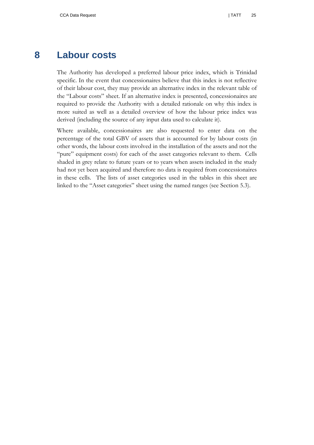### **8 Labour costs**

<span id="page-30-0"></span>The Authority has developed a preferred labour price index, which is Trinidad specific. In the event that concessionaires believe that this index is not reflective of their labour cost, they may provide an alternative index in the relevant table of the "Labour costs" sheet. If an alternative index is presented, concessionaires are required to provide the Authority with a detailed rationale on why this index is more suited as well as a detailed overview of how the labour price index was derived (including the source of any input data used to calculate it).

Where available, concessionaires are also requested to enter data on the percentage of the total GBV of assets that is accounted for by labour costs (in other words, the labour costs involved in the installation of the assets and not the "pure" equipment costs) for each of the asset categories relevant to them. Cells shaded in grey relate to future years or to years when assets included in the study had not yet been acquired and therefore no data is required from concessionaires in these cells. The lists of asset categories used in the tables in this sheet are linked to the "Asset categories" sheet using the named ranges (see Section [5.3\)](#page-20-0).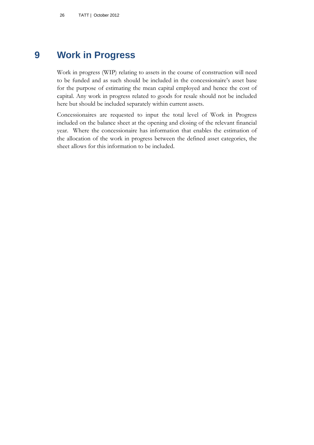# **9 Work in Progress**

<span id="page-31-0"></span>Work in progress (WIP) relating to assets in the course of construction will need to be funded and as such should be included in the concessionaire's asset base for the purpose of estimating the mean capital employed and hence the cost of capital. Any work in progress related to goods for resale should not be included here but should be included separately within current assets.

Concessionaires are requested to input the total level of Work in Progress included on the balance sheet at the opening and closing of the relevant financial year. Where the concessionaire has information that enables the estimation of the allocation of the work in progress between the defined asset categories, the sheet allows for this information to be included.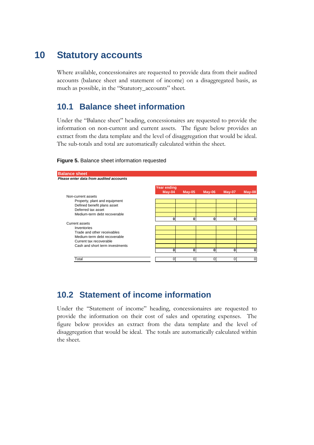# **10 Statutory accounts**

<span id="page-32-0"></span>Where available, concessionaires are requested to provide data from their audited accounts (balance sheet and statement of income) on a disaggregated basis, as much as possible, in the "Statutory\_accounts" sheet.

# <span id="page-32-1"></span>**10.1 Balance sheet information**

Under the "Balance sheet" heading, concessionaires are requested to provide the information on non-current and current assets. The figure below provides an extract from the data template and the level of disaggregation that would be ideal. The sub-totals and total are automatically calculated within the sheet.

| <b>Balance sheet</b>                    |                                |          |          |        |          |
|-----------------------------------------|--------------------------------|----------|----------|--------|----------|
| Please enter data from audited accounts |                                |          |          |        |          |
|                                         | <b>Year ending</b><br>$May-04$ | $May-05$ | $May-06$ | May-07 | $May-08$ |
| Non-current assets                      |                                |          |          |        |          |
| Property, plant and equipment           |                                |          |          |        |          |
| Defined benefit plans asset             |                                |          |          |        |          |
| Deferred tax asset                      |                                |          |          |        |          |
| Medium-term debt recoverable            |                                |          |          |        |          |
|                                         | 0                              | 0        | 0        | 0      | 0        |
| Current assets                          |                                |          |          |        |          |
| Inventories                             |                                |          |          |        |          |
| Trade and other receivables             |                                |          |          |        |          |
| Medium-term debt recoverable            |                                |          |          |        |          |
| Current tax recoverable                 |                                |          |          |        |          |
| Cash and short term investments         |                                |          |          |        |          |
|                                         | 0                              | 0        | 0        | 0      | 0        |
|                                         |                                |          |          |        |          |
| Total                                   | ი                              | 0        |          | 0      | 0        |

#### <span id="page-32-3"></span>**Figure 5.** Balance sheet information requested

# <span id="page-32-2"></span>**10.2 Statement of income information**

Under the "Statement of income" heading, concessionaires are requested to provide the information on their cost of sales and operating expenses. The figure below provides an extract from the data template and the level of disaggregation that would be ideal. The totals are automatically calculated within the sheet.